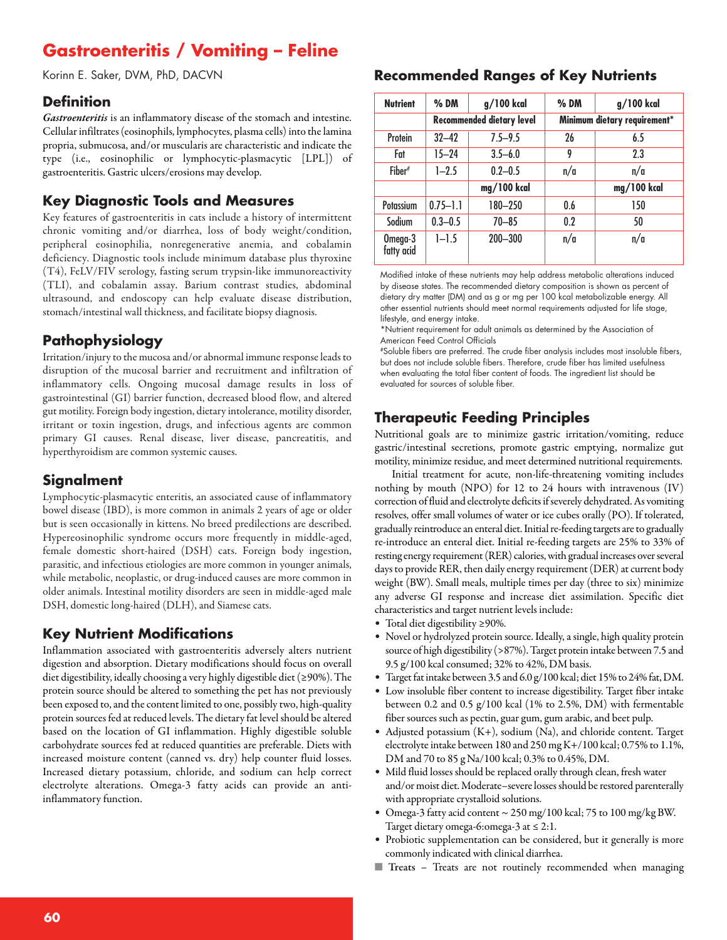# **Gastroenteritis / Vomiting – Feline**

Korinn E. Saker, DVM, PhD, DACVN

#### **Definition**

*Gastroenteritis* is an inflammatory disease of the stomach and intestine. Cellular infiltrates (eosinophils, lymphocytes, plasma cells) into the lamina propria, submucosa, and/or muscularis are characteristic and indicate the type (i.e., eosinophilic or lymphocytic-plasmacytic [LPL]) of gastroenteritis. Gastric ulcers/erosions may develop.

#### **Key Diagnostic Tools and Measures**

Key features of gastroenteritis in cats include a history of intermittent chronic vomiting and/or diarrhea, loss of body weight/condition, peripheral eosinophilia, nonregenerative anemia, and cobalamin deficiency. Diagnostic tools include minimum database plus thyroxine (T4), FeLV/FIV serology, fasting serum trypsin-like immunoreactivity (TLI), and cobalamin assay. Barium contrast studies, abdominal ultrasound, and endoscopy can help evaluate disease distribution, stomach/intestinal wall thickness, and facilitate biopsy diagnosis.

### **Pathophysiology**

Irritation/injury to the mucosa and/or abnormal immune response leads to disruption of the mucosal barrier and recruitment and infiltration of inflammatory cells. Ongoing mucosal damage results in loss of gastrointestinal (GI) barrier function, decreased blood flow, and altered gut motility. Foreign body ingestion, dietary intolerance, motility disorder, irritant or toxin ingestion, drugs, and infectious agents are common primary GI causes. Renal disease, liver disease, pancreatitis, and hyperthyroidism are common systemic causes.

#### **Signalment**

Lymphocytic-plasmacytic enteritis, an associated cause of inflammatory bowel disease (IBD), is more common in animals 2 years of age or older but is seen occasionally in kittens. No breed predilections are described. Hypereosinophilic syndrome occurs more frequently in middle-aged, female domestic short-haired (DSH) cats. Foreign body ingestion, parasitic, and infectious etiologies are more common in younger animals, while metabolic, neoplastic, or drug-induced causes are more common in older animals. Intestinal motility disorders are seen in middle-aged male DSH, domestic long-haired (DLH), and Siamese cats.

#### **Key Nutrient Modifications**

Inflammation associated with gastroenteritis adversely alters nutrient digestion and absorption. Dietary modifications should focus on overall diet digestibility, ideally choosing a very highly digestible diet (≥90%). The protein source should be altered to something the pet has not previously been exposed to, and the content limited to one, possibly two, high-quality protein sources fed at reduced levels. The dietary fat level should be altered based on the location of GI inflammation. Highly digestible soluble carbohydrate sources fed at reduced quantities are preferable. Diets with increased moisture content (canned vs. dry) help counter fluid losses. Increased dietary potassium, chloride, and sodium can help correct electrolyte alterations. Omega-3 fatty acids can provide an antiinflammatory function.

#### **Recommended Ranges of Key Nutrients**

| <b>Nutrient</b>       | $%$ DM                           | g/100 kcal  | $%$ DM                       | g/100 kcal  |
|-----------------------|----------------------------------|-------------|------------------------------|-------------|
|                       | <b>Recommended dietary level</b> |             | Minimum dietary requirement* |             |
| Protein               | $32 - 42$                        | $7.5 - 9.5$ | 26                           | 6.5         |
| Fat                   | $15 - 24$                        | $3.5 - 6.0$ | 9                            | 2.3         |
| Fiber                 | $1 - 2.5$                        | $0.2 - 0.5$ | n/a                          | n/a         |
|                       |                                  | mg/100 kcal |                              | mg/100 kcal |
| Potassium             | $0.75 - 1.1$                     | 180-250     | 0.6                          | 150         |
| Sodium                | $0.3 - 0.5$                      | $70 - 85$   | 0.2                          | 50          |
| Omega-3<br>fatty acid | $1 - 1.5$                        | $200 - 300$ | n/a                          | n/a         |

Modified intake of these nutrients may help address metabolic alterations induced by disease states. The recommended dietary composition is shown as percent of dietary dry matter (DM) and as g or mg per 100 kcal metabolizable energy. All other essential nutrients should meet normal requirements adjusted for life stage, lifestyle, and energy intake.

\*Nutrient requirement for adult animals as determined by the Association of American Feed Control Officials

#Soluble fibers are preferred. The crude fiber analysis includes most insoluble fibers, but does not include soluble fibers. Therefore, crude fiber has limited usefulness when evaluating the total fiber content of foods. The ingredient list should be evaluated for sources of soluble fiber.

## **Therapeutic Feeding Principles**

Nutritional goals are to minimize gastric irritation/vomiting, reduce gastric/intestinal secretions, promote gastric emptying, normalize gut motility, minimize residue, and meet determined nutritional requirements.

Initial treatment for acute, non-life-threatening vomiting includes nothing by mouth (NPO) for 12 to 24 hours with intravenous (IV) correction of fluid and electrolyte deficits if severely dehydrated. As vomiting resolves, offer small volumes of water or ice cubes orally (PO). If tolerated, gradually reintroduce an enteral diet. Initial re-feeding targets are to gradually re-introduce an enteral diet. Initial re-feeding targets are 25% to 33% of resting energy requirement (RER) calories, with gradual increases over several days to provide RER, then daily energy requirement (DER) at current body weight (BW). Small meals, multiple times per day (three to six) minimize any adverse GI response and increase diet assimilation. Specific diet characteristicsand target nutrient levels include:

- Total diet digestibility ≥90%.
- Novel or hydrolyzed protein source. Ideally, a single, high quality protein source of high digestibility (>87%). Target protein intake between 7.5 and  $9.5$  g/100 kcal consumed; 32% to 42%, DM basis.
- Target fat intake between 3.5 and  $6.0$  g/100 kcal; diet 15% to 24% fat, DM.
- Low insoluble fiber content to increase digestibility. Target fiber intake between 0.2 and 0.5 g/100 kcal (1% to 2.5%, DM) with fermentable fiber sources such as pectin, guar gum, gum arabic, and beet pulp.
- Adjusted potassium (K+), sodium (Na), and chloride content. Target electrolyte intake between 180 and 250 mg K+/100 kcal; 0.75% to 1.1%, DM and 70 to 85 g Na/100 kcal; 0.3% to 0.45%, DM.
- Mild fluid losses should be replaced orally through clean, fresh water and/or moist diet. Moderate–severe losses should be restored parenterally with appropriate crystalloid solutions.
- Omega-3 fatty acid content  $\sim$  250 mg/100 kcal; 75 to 100 mg/kg BW. Target dietary omega-6:omega-3 at ≤ 2:1.
- Probiotic supplementation can be considered, but it generally is more commonly indicated with clinical diarrhea.
- **Treats –** Treats are not routinely recommended when managing